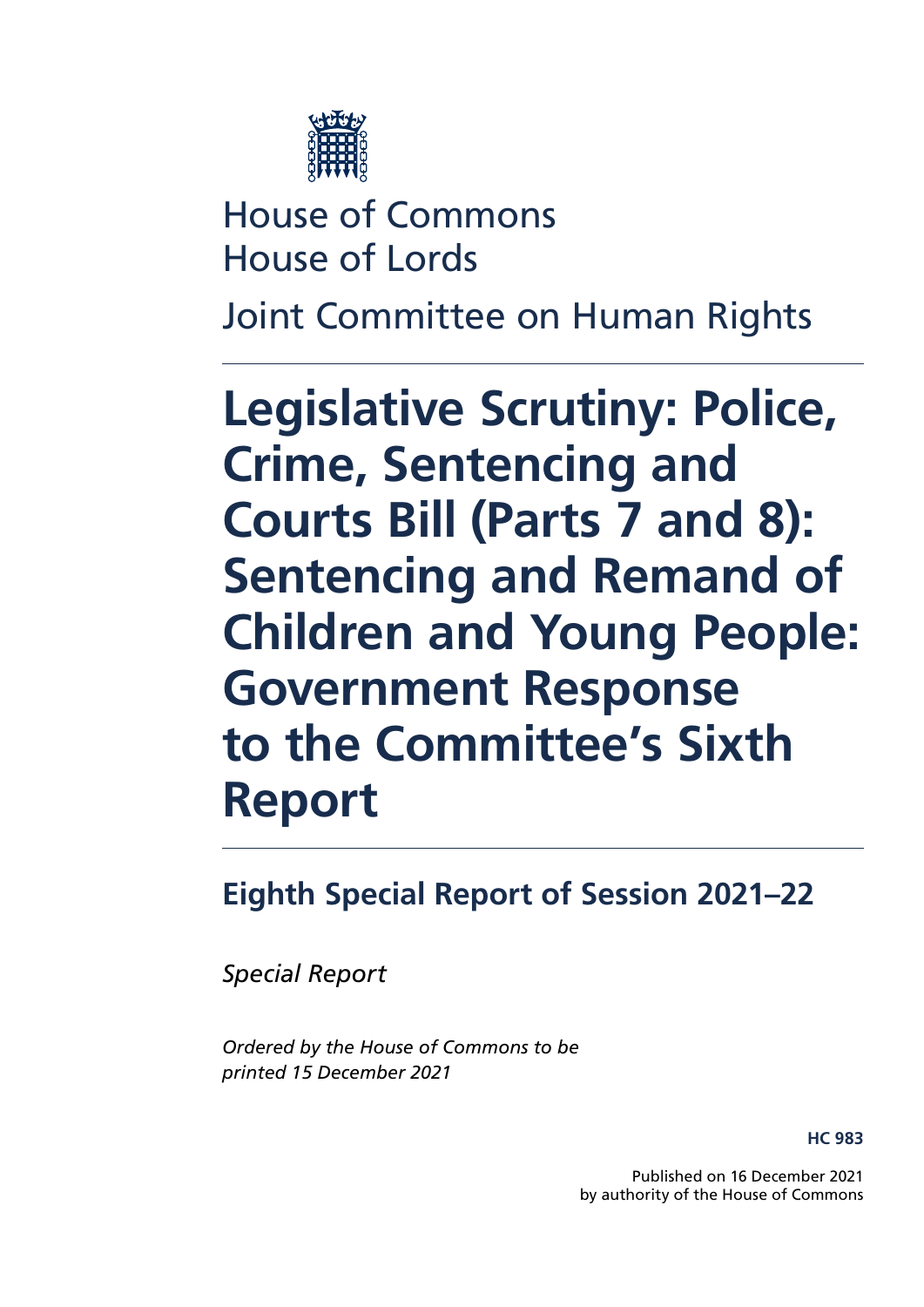

House of Commons House of Lords

Joint Committee on Human Rights

**Legislative Scrutiny: Police, Crime, Sentencing and Courts Bill (Parts 7 and 8): Sentencing and Remand of Children and Young People: Government Response to the Committee's Sixth Report**

**Eighth Special Report of Session 2021–22**

*Special Report*

*Ordered by the House of Commons to be printed 15 December 2021*

**HC 983**

Published on 16 December 2021 by authority of the House of Commons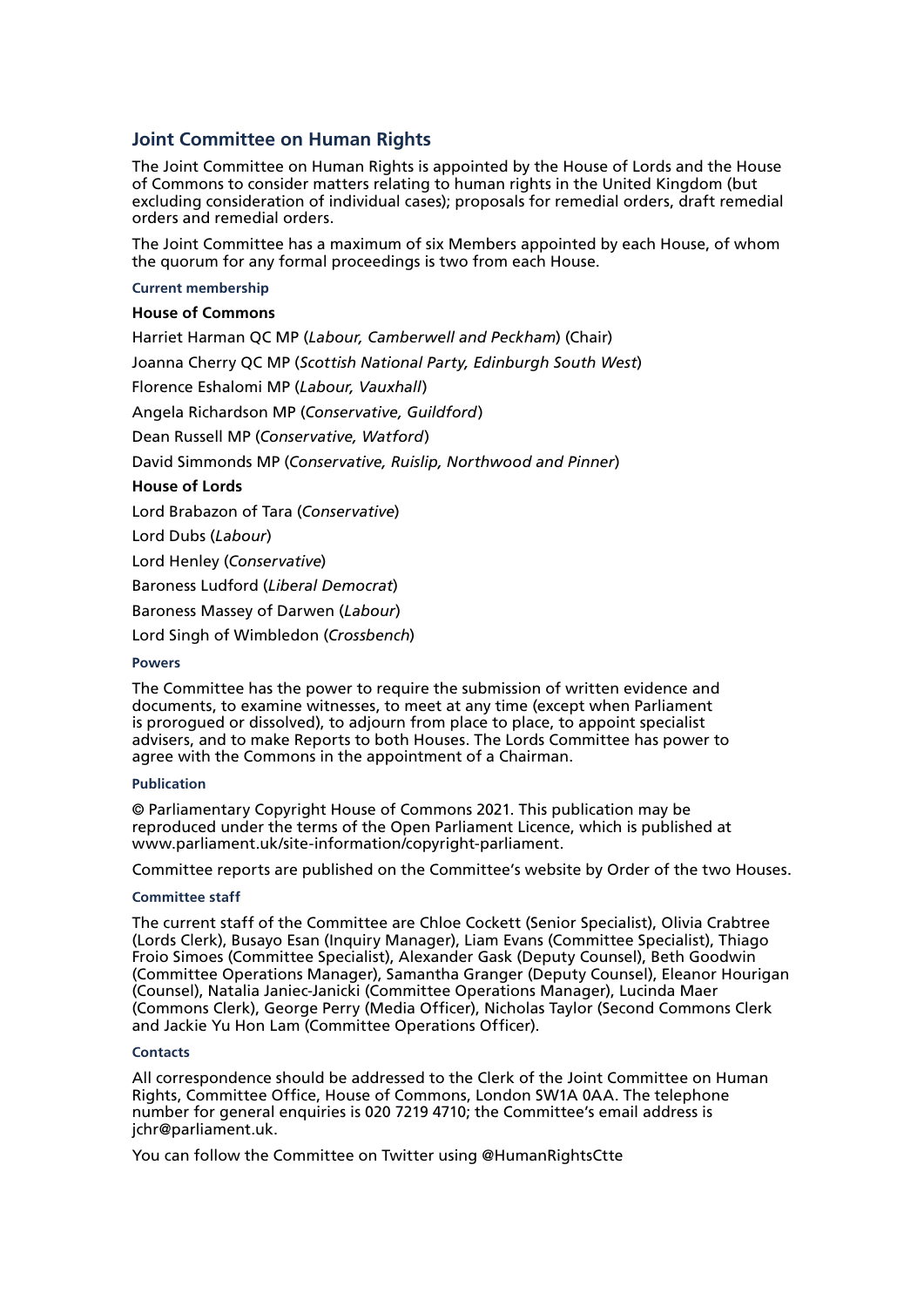### **Joint Committee on Human Rights**

The Joint Committee on Human Rights is appointed by the House of Lords and the House of Commons to consider matters relating to human rights in the United Kingdom (but excluding consideration of individual cases); proposals for remedial orders, draft remedial orders and remedial orders.

The Joint Committee has a maximum of six Members appointed by each House, of whom the quorum for any formal proceedings is two from each House.

### **Current membership**

### **House of Commons**

[Harriet Harman QC MP](https://members.parliament.uk/member/150/contact) (*Labour, Camberwell and Peckham*) (Chair) [Joanna Cherry QC MP](https://members.parliament.uk/member/4419/contact) (*Scottish National Party, Edinburgh South West*) [Florence Eshalomi MP](https://members.parliament.uk/member/4870/contact) (*Labour, Vauxhall*) [Angela Richardson MP](https://members.parliament.uk/member/4840/contact) (*Conservative, Guildford*) [Dean Russell MP](https://members.parliament.uk/member/4812/contact) (*Conservative, Watford*) [David Simmonds MP](https://members.parliament.uk/member/4872/contact) (*Conservative, Ruislip, Northwood and Pinner*) **House of Lords** [Lord Brabazon of Tara](https://members.parliament.uk/member/3493/contact) (*Conservative*) [Lord Dubs](https://members.parliament.uk/member/805/contact) (*Labour*) [Lord Henley](https://members.parliament.uk/member/2616/contact) (*Conservative*) [Baroness Ludford](https://members.parliament.uk/member/1867/contact) (*Liberal Democrat*) [Baroness Massey of Darwen](https://members.parliament.uk/member/2489/contact) (*Labour*)

[Lord Singh of Wimbledon](https://members.parliament.uk/member/4251/contact) (*Crossbench*)

### **Powers**

The Committee has the power to require the submission of written evidence and documents, to examine witnesses, to meet at any time (except when Parliament is prorogued or dissolved), to adjourn from place to place, to appoint specialist advisers, and to make Reports to both Houses. The Lords Committee has power to agree with the Commons in the appointment of a Chairman.

### **Publication**

© Parliamentary Copyright House of Commons 2021. This publication may be reproduced under the terms of the Open Parliament Licence, which is published at [www.parliament.uk/site-information/copyright-parliament.](https://www.parliament.uk/site-information/copyright-parliament/)

Committee reports are published on the [Committee's website](https://committees.parliament.uk/committee/93/human-rights-joint-committee/) by Order of the two Houses.

### **Committee staff**

The current staff of the Committee are Chloe Cockett (Senior Specialist), Olivia Crabtree (Lords Clerk), Busayo Esan (Inquiry Manager), Liam Evans (Committee Specialist), Thiago Froio Simoes (Committee Specialist), Alexander Gask (Deputy Counsel), Beth Goodwin (Committee Operations Manager), Samantha Granger (Deputy Counsel), Eleanor Hourigan (Counsel), Natalia Janiec-Janicki (Committee Operations Manager), Lucinda Maer (Commons Clerk), George Perry (Media Officer), Nicholas Taylor (Second Commons Clerk and Jackie Yu Hon Lam (Committee Operations Officer).

### **Contacts**

All correspondence should be addressed to the Clerk of the Joint Committee on Human Rights, Committee Office, House of Commons, London SW1A 0AA. The telephone number for general enquiries is 020 7219 4710; the Committee's email address is [jchr@parliament.uk](mailto:jchr%40parliament.uk?subject=).

You can follow the Committee on Twitter using [@HumanRightsCtte](https://twitter.com/HumanRightsCtte?ref_src=twsrc%5Egoogle%7Ctwcamp%5Eserp%7Ctwgr%5Eauthor)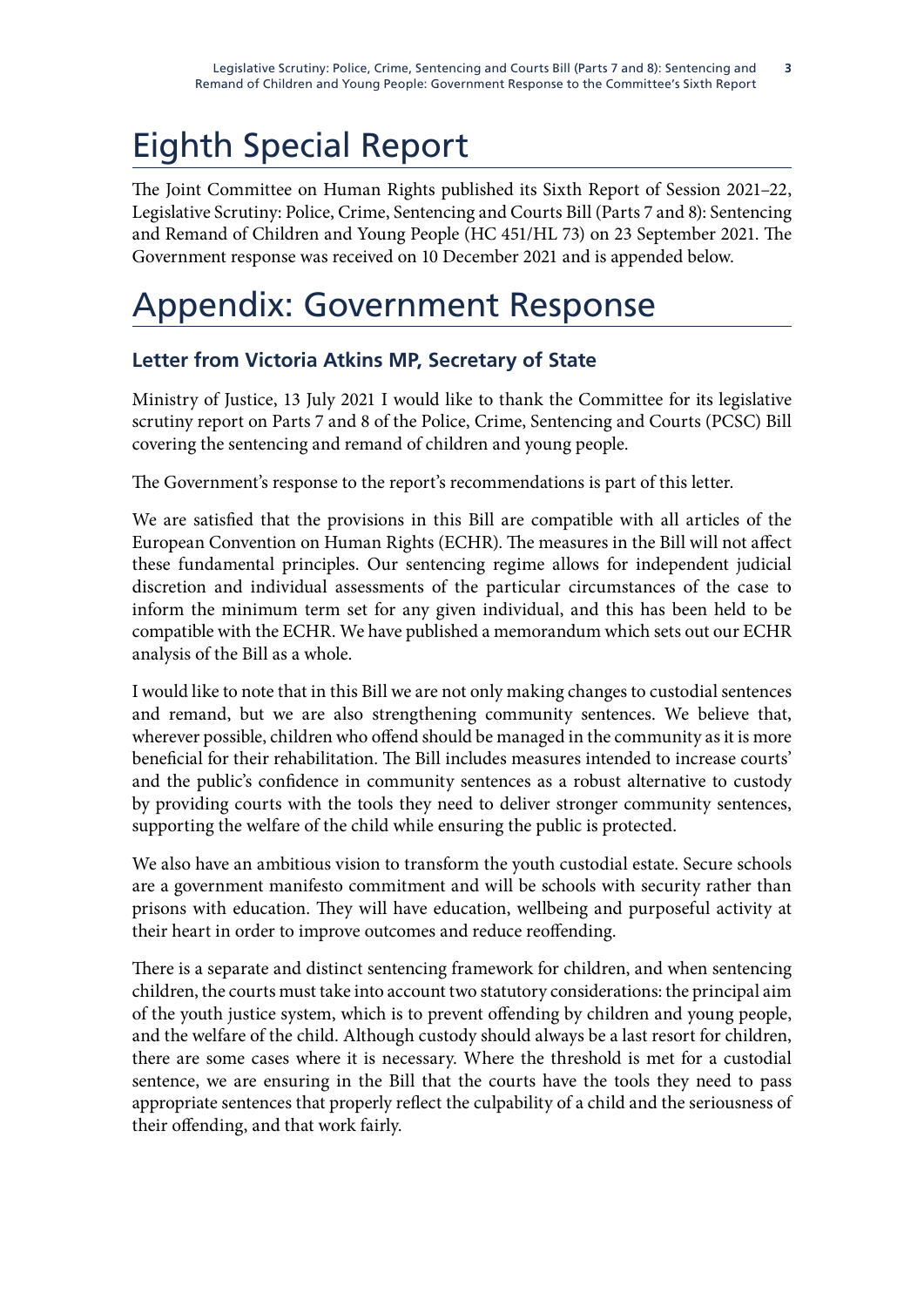# Eighth Special Report

The Joint Committee on Human Rights published its Sixth Report of Session 2021–22, [Legislative Scrutiny: Police, Crime, Sentencing and Courts Bill \(Parts 7 and 8\): Sentencing](https://committees.parliament.uk/publications/7421/documents/77687/default/) [and Remand of Children and Young People](https://committees.parliament.uk/publications/7421/documents/77687/default/) (HC 451/HL 73) on 23 September 2021. The Government response was received on 10 December 2021 and is appended below.

# Appendix: Government Response

## **Letter from Victoria Atkins MP, Secretary of State**

Ministry of Justice, 13 July 2021 I would like to thank the Committee for its legislative scrutiny report on Parts 7 and 8 of the Police, Crime, Sentencing and Courts (PCSC) Bill covering the sentencing and remand of children and young people.

The Government's response to the report's recommendations is part of this letter.

We are satisfied that the provisions in this Bill are compatible with all articles of the European Convention on Human Rights (ECHR). The measures in the Bill will not affect these fundamental principles. Our sentencing regime allows for independent judicial discretion and individual assessments of the particular circumstances of the case to inform the minimum term set for any given individual, and this has been held to be compatible with the ECHR. We have published a memorandum which sets out our ECHR analysis of the Bill as a whole.

I would like to note that in this Bill we are not only making changes to custodial sentences and remand, but we are also strengthening community sentences. We believe that, wherever possible, children who offend should be managed in the community as it is more beneficial for their rehabilitation. The Bill includes measures intended to increase courts' and the public's confidence in community sentences as a robust alternative to custody by providing courts with the tools they need to deliver stronger community sentences, supporting the welfare of the child while ensuring the public is protected.

We also have an ambitious vision to transform the youth custodial estate. Secure schools are a government manifesto commitment and will be schools with security rather than prisons with education. They will have education, wellbeing and purposeful activity at their heart in order to improve outcomes and reduce reoffending.

There is a separate and distinct sentencing framework for children, and when sentencing children, the courts must take into account two statutory considerations: the principal aim of the youth justice system, which is to prevent offending by children and young people, and the welfare of the child. Although custody should always be a last resort for children, there are some cases where it is necessary. Where the threshold is met for a custodial sentence, we are ensuring in the Bill that the courts have the tools they need to pass appropriate sentences that properly reflect the culpability of a child and the seriousness of their offending, and that work fairly.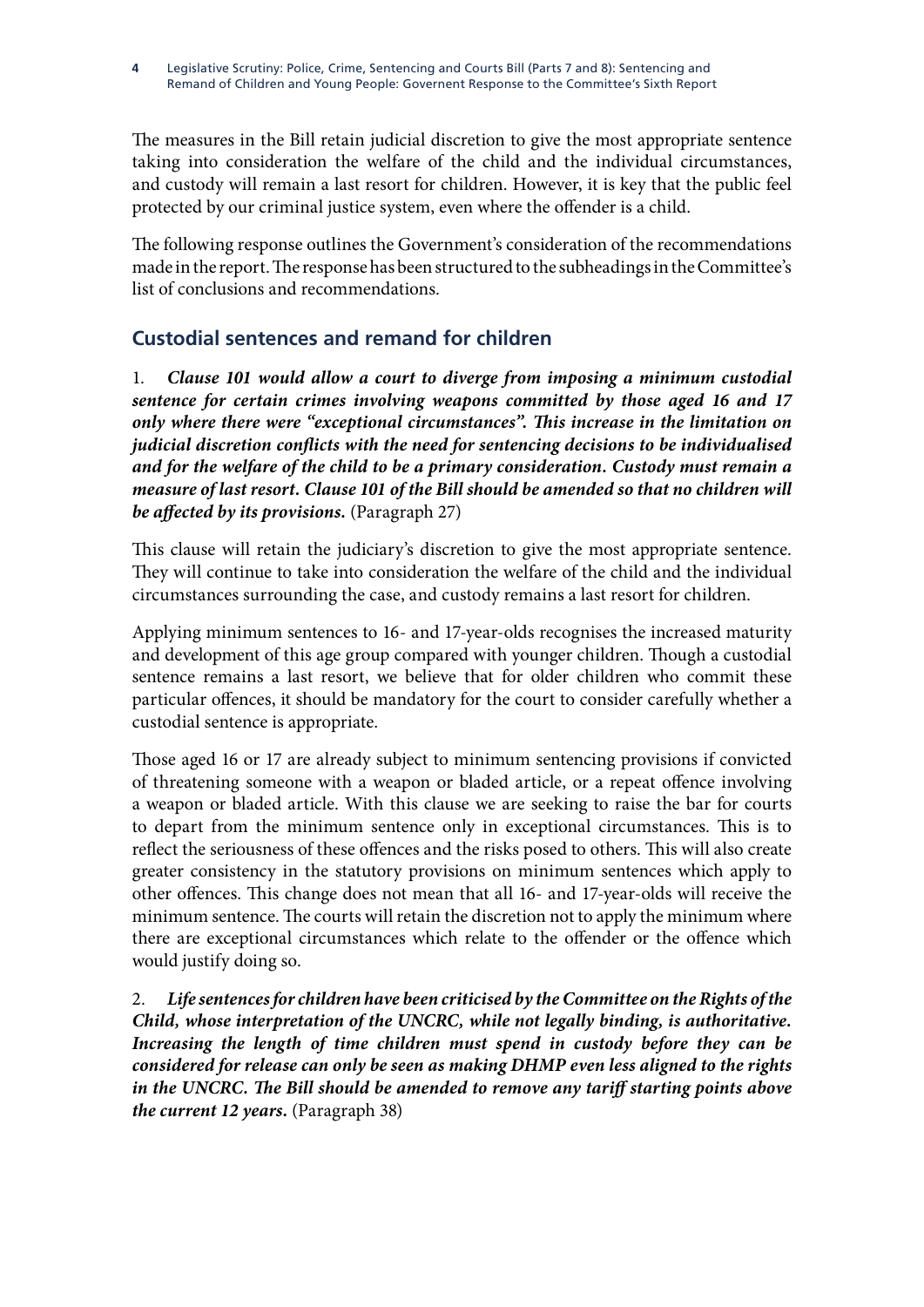The measures in the Bill retain judicial discretion to give the most appropriate sentence taking into consideration the welfare of the child and the individual circumstances, and custody will remain a last resort for children. However, it is key that the public feel protected by our criminal justice system, even where the offender is a child.

The following response outlines the Government's consideration of the recommendations made in the report. The response has been structured to the subheadings in the Committee's list of conclusions and recommendations.

# **Custodial sentences and remand for children**

1. *Clause 101 would allow a court to diverge from imposing a minimum custodial sentence for certain crimes involving weapons committed by those aged 16 and 17 only where there were "exceptional circumstances". This increase in the limitation on judicial discretion conflicts with the need for sentencing decisions to be individualised and for the welfare of the child to be a primary consideration. Custody must remain a measure of last resort. Clause 101 of the Bill should be amended so that no children will be affected by its provisions.* (Paragraph 27)

This clause will retain the judiciary's discretion to give the most appropriate sentence. They will continue to take into consideration the welfare of the child and the individual circumstances surrounding the case, and custody remains a last resort for children.

Applying minimum sentences to 16- and 17-year-olds recognises the increased maturity and development of this age group compared with younger children. Though a custodial sentence remains a last resort, we believe that for older children who commit these particular offences, it should be mandatory for the court to consider carefully whether a custodial sentence is appropriate.

Those aged 16 or 17 are already subject to minimum sentencing provisions if convicted of threatening someone with a weapon or bladed article, or a repeat offence involving a weapon or bladed article. With this clause we are seeking to raise the bar for courts to depart from the minimum sentence only in exceptional circumstances. This is to reflect the seriousness of these offences and the risks posed to others. This will also create greater consistency in the statutory provisions on minimum sentences which apply to other offences. This change does not mean that all 16- and 17-year-olds will receive the minimum sentence. The courts will retain the discretion not to apply the minimum where there are exceptional circumstances which relate to the offender or the offence which would justify doing so.

2. *Life sentences for children have been criticised by the Committee on the Rights of the Child, whose interpretation of the UNCRC, while not legally binding, is authoritative. Increasing the length of time children must spend in custody before they can be considered for release can only be seen as making DHMP even less aligned to the rights in the UNCRC. The Bill should be amended to remove any tariff starting points above the current 12 years.* (Paragraph 38)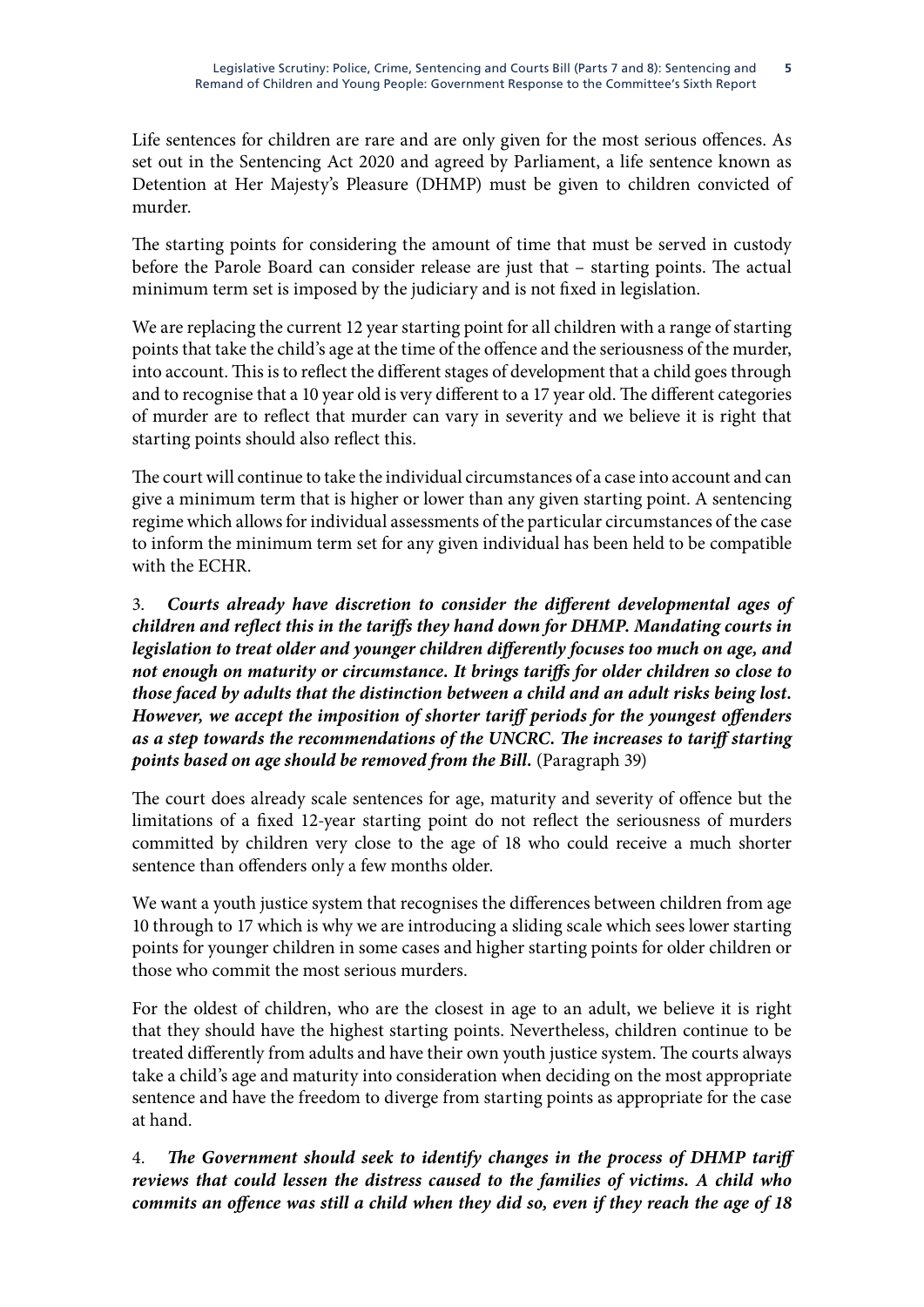Life sentences for children are rare and are only given for the most serious offences. As set out in the Sentencing Act 2020 and agreed by Parliament, a life sentence known as Detention at Her Majesty's Pleasure (DHMP) must be given to children convicted of murder.

The starting points for considering the amount of time that must be served in custody before the Parole Board can consider release are just that – starting points. The actual minimum term set is imposed by the judiciary and is not fixed in legislation.

We are replacing the current 12 year starting point for all children with a range of starting points that take the child's age at the time of the offence and the seriousness of the murder, into account. This is to reflect the different stages of development that a child goes through and to recognise that a 10 year old is very different to a 17 year old. The different categories of murder are to reflect that murder can vary in severity and we believe it is right that starting points should also reflect this.

The court will continue to take the individual circumstances of a case into account and can give a minimum term that is higher or lower than any given starting point. A sentencing regime which allows for individual assessments of the particular circumstances of the case to inform the minimum term set for any given individual has been held to be compatible with the ECHR.

3. *Courts already have discretion to consider the different developmental ages of children and reflect this in the tariffs they hand down for DHMP. Mandating courts in legislation to treat older and younger children differently focuses too much on age, and not enough on maturity or circumstance. It brings tariffs for older children so close to those faced by adults that the distinction between a child and an adult risks being lost. However, we accept the imposition of shorter tariff periods for the youngest offenders as a step towards the recommendations of the UNCRC. The increases to tariff starting points based on age should be removed from the Bill.* (Paragraph 39)

The court does already scale sentences for age, maturity and severity of offence but the limitations of a fixed 12-year starting point do not reflect the seriousness of murders committed by children very close to the age of 18 who could receive a much shorter sentence than offenders only a few months older.

We want a youth justice system that recognises the differences between children from age 10 through to 17 which is why we are introducing a sliding scale which sees lower starting points for younger children in some cases and higher starting points for older children or those who commit the most serious murders.

For the oldest of children, who are the closest in age to an adult, we believe it is right that they should have the highest starting points. Nevertheless, children continue to be treated differently from adults and have their own youth justice system. The courts always take a child's age and maturity into consideration when deciding on the most appropriate sentence and have the freedom to diverge from starting points as appropriate for the case at hand.

4. *The Government should seek to identify changes in the process of DHMP tariff reviews that could lessen the distress caused to the families of victims. A child who commits an offence was still a child when they did so, even if they reach the age of 18*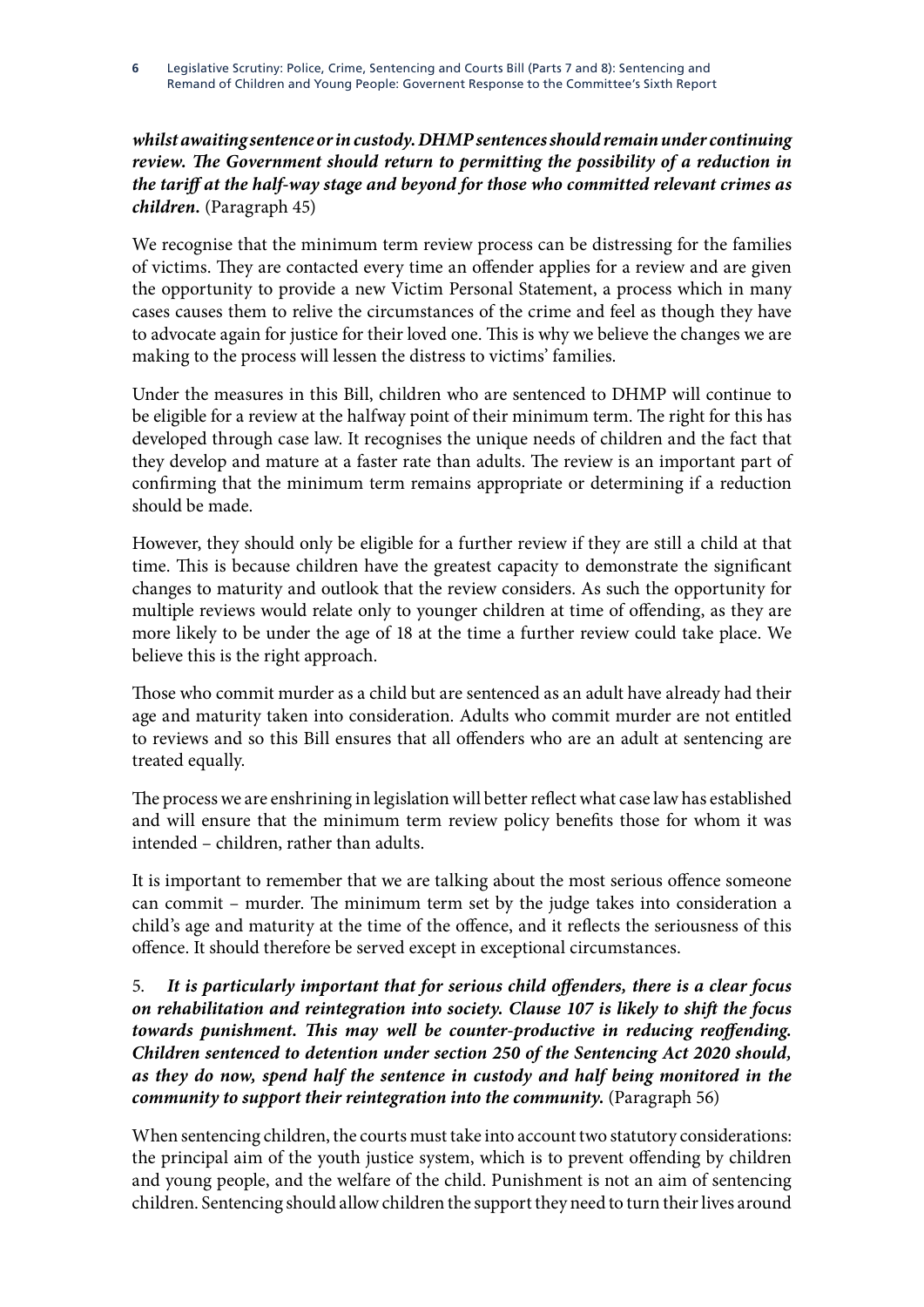*whilst awaiting sentence or in custody. DHMP sentences should remain under continuing*  review. The Government should return to permitting the possibility of a reduction in *the tariff at the half-way stage and beyond for those who committed relevant crimes as children.* (Paragraph 45)

We recognise that the minimum term review process can be distressing for the families of victims. They are contacted every time an offender applies for a review and are given the opportunity to provide a new Victim Personal Statement, a process which in many cases causes them to relive the circumstances of the crime and feel as though they have to advocate again for justice for their loved one. This is why we believe the changes we are making to the process will lessen the distress to victims' families.

Under the measures in this Bill, children who are sentenced to DHMP will continue to be eligible for a review at the halfway point of their minimum term. The right for this has developed through case law. It recognises the unique needs of children and the fact that they develop and mature at a faster rate than adults. The review is an important part of confirming that the minimum term remains appropriate or determining if a reduction should be made.

However, they should only be eligible for a further review if they are still a child at that time. This is because children have the greatest capacity to demonstrate the significant changes to maturity and outlook that the review considers. As such the opportunity for multiple reviews would relate only to younger children at time of offending, as they are more likely to be under the age of 18 at the time a further review could take place. We believe this is the right approach.

Those who commit murder as a child but are sentenced as an adult have already had their age and maturity taken into consideration. Adults who commit murder are not entitled to reviews and so this Bill ensures that all offenders who are an adult at sentencing are treated equally.

The process we are enshrining in legislation will better reflect what case law has established and will ensure that the minimum term review policy benefits those for whom it was intended – children, rather than adults.

It is important to remember that we are talking about the most serious offence someone can commit – murder. The minimum term set by the judge takes into consideration a child's age and maturity at the time of the offence, and it reflects the seriousness of this offence. It should therefore be served except in exceptional circumstances.

5. *It is particularly important that for serious child offenders, there is a clear focus on rehabilitation and reintegration into society. Clause 107 is likely to shift the focus towards punishment. This may well be counter-productive in reducing reoffending. Children sentenced to detention under section 250 of the Sentencing Act 2020 should, as they do now, spend half the sentence in custody and half being monitored in the community to support their reintegration into the community.* (Paragraph 56)

When sentencing children, the courts must take into account two statutory considerations: the principal aim of the youth justice system, which is to prevent offending by children and young people, and the welfare of the child. Punishment is not an aim of sentencing children. Sentencing should allow children the support they need to turn their lives around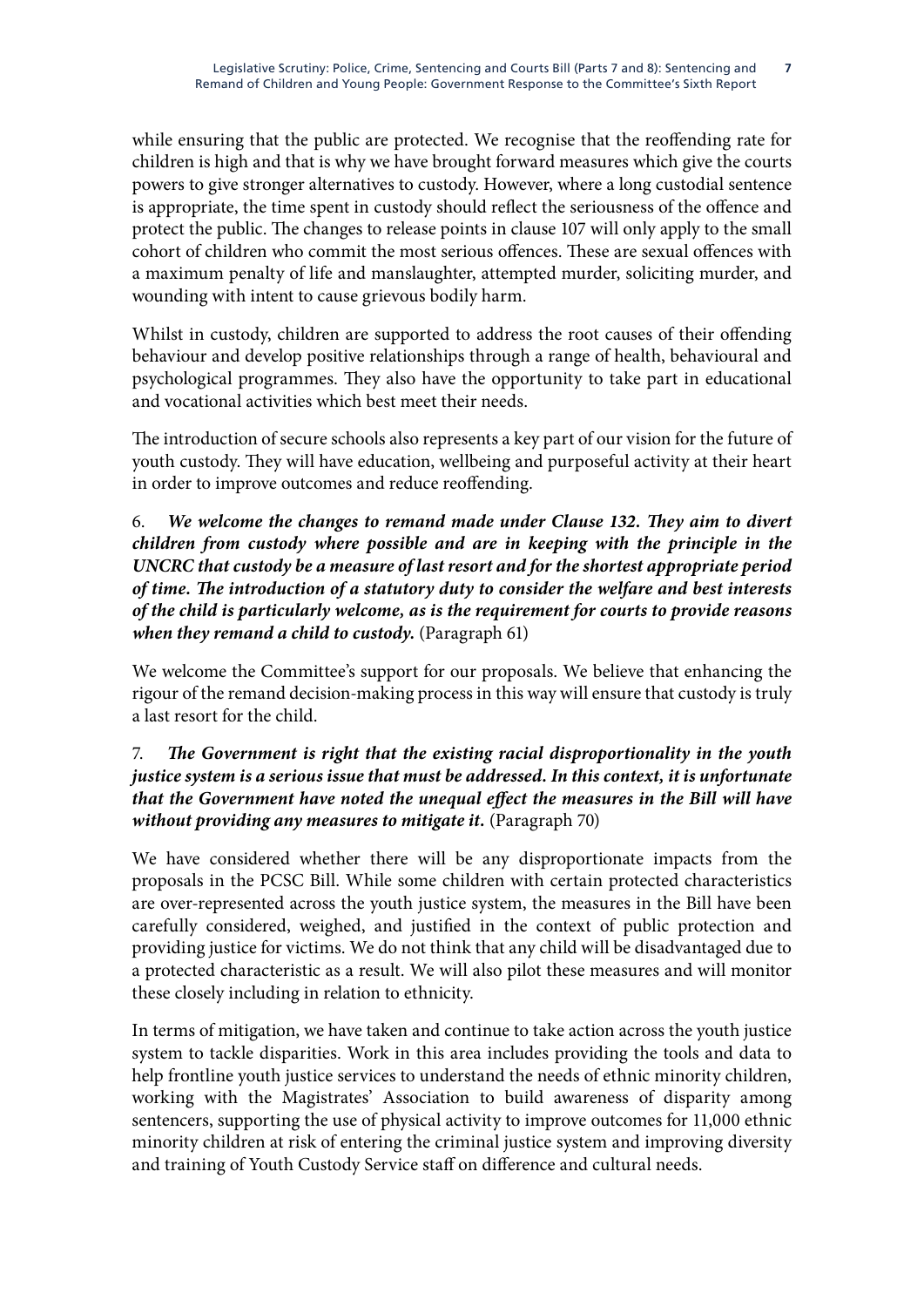while ensuring that the public are protected. We recognise that the reoffending rate for children is high and that is why we have brought forward measures which give the courts powers to give stronger alternatives to custody. However, where a long custodial sentence is appropriate, the time spent in custody should reflect the seriousness of the offence and protect the public. The changes to release points in clause 107 will only apply to the small cohort of children who commit the most serious offences. These are sexual offences with a maximum penalty of life and manslaughter, attempted murder, soliciting murder, and wounding with intent to cause grievous bodily harm.

Whilst in custody, children are supported to address the root causes of their offending behaviour and develop positive relationships through a range of health, behavioural and psychological programmes. They also have the opportunity to take part in educational and vocational activities which best meet their needs.

The introduction of secure schools also represents a key part of our vision for the future of youth custody. They will have education, wellbeing and purposeful activity at their heart in order to improve outcomes and reduce reoffending.

## 6. *We welcome the changes to remand made under Clause 132. They aim to divert children from custody where possible and are in keeping with the principle in the UNCRC that custody be a measure of last resort and for the shortest appropriate period of time. The introduction of a statutory duty to consider the welfare and best interests of the child is particularly welcome, as is the requirement for courts to provide reasons when they remand a child to custody.* (Paragraph 61)

We welcome the Committee's support for our proposals. We believe that enhancing the rigour of the remand decision-making process in this way will ensure that custody is truly a last resort for the child.

## 7. *The Government is right that the existing racial disproportionality in the youth justice system is a serious issue that must be addressed. In this context, it is unfortunate that the Government have noted the unequal effect the measures in the Bill will have without providing any measures to mitigate it.* (Paragraph 70)

We have considered whether there will be any disproportionate impacts from the proposals in the PCSC Bill. While some children with certain protected characteristics are over-represented across the youth justice system, the measures in the Bill have been carefully considered, weighed, and justified in the context of public protection and providing justice for victims. We do not think that any child will be disadvantaged due to a protected characteristic as a result. We will also pilot these measures and will monitor these closely including in relation to ethnicity.

In terms of mitigation, we have taken and continue to take action across the youth justice system to tackle disparities. Work in this area includes providing the tools and data to help frontline youth justice services to understand the needs of ethnic minority children, working with the Magistrates' Association to build awareness of disparity among sentencers, supporting the use of physical activity to improve outcomes for 11,000 ethnic minority children at risk of entering the criminal justice system and improving diversity and training of Youth Custody Service staff on difference and cultural needs.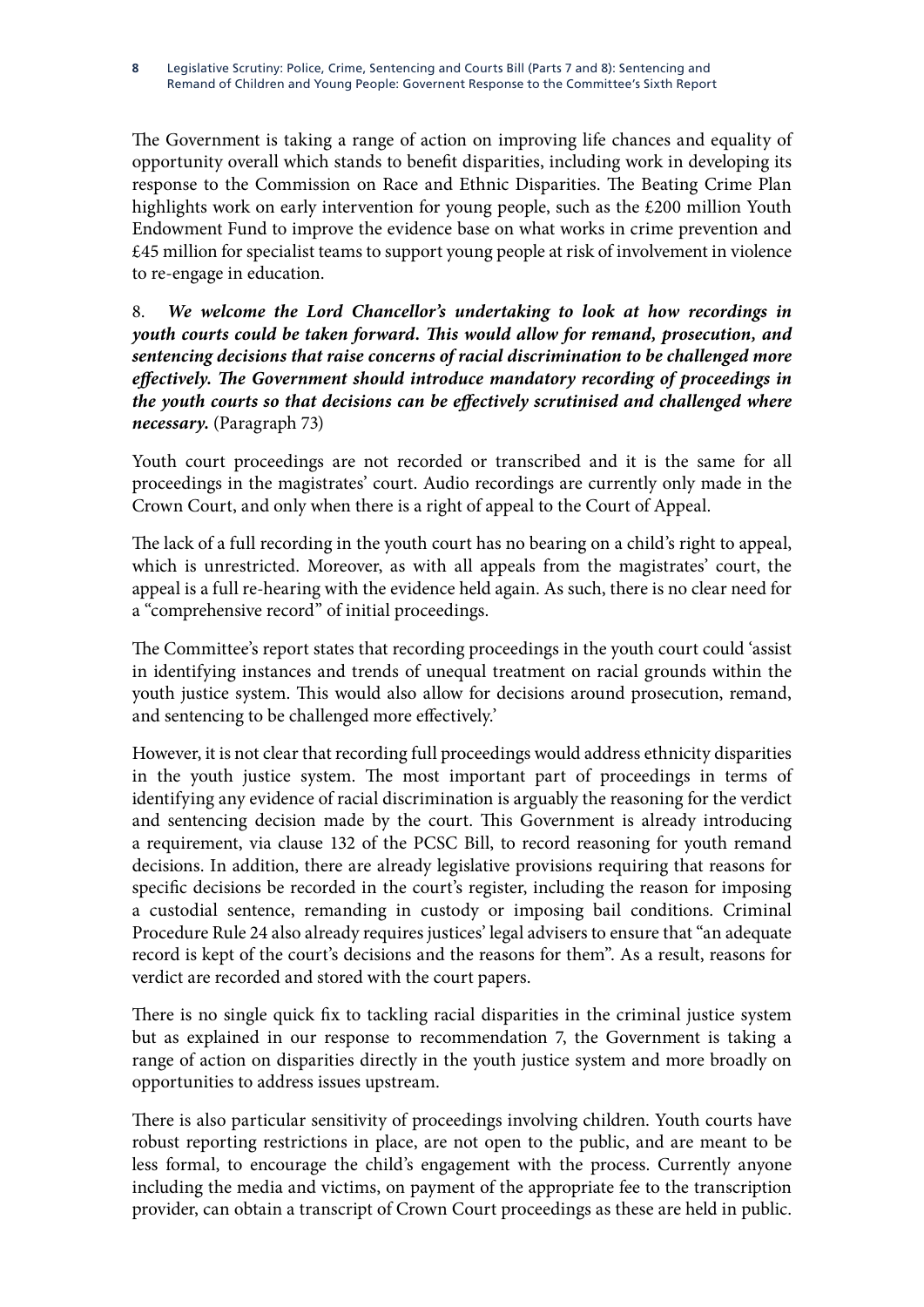Legislative Scrutiny: Police, Crime, Sentencing and Courts Bill (Parts 7 and 8): Sentencing and Remand of Children and Young People: Governent Response to the Committee's Sixth Report **8**

The Government is taking a range of action on improving life chances and equality of opportunity overall which stands to benefit disparities, including work in developing its response to the Commission on Race and Ethnic Disparities. The Beating Crime Plan highlights work on early intervention for young people, such as the £200 million Youth Endowment Fund to improve the evidence base on what works in crime prevention and £45 million for specialist teams to support young people at risk of involvement in violence to re-engage in education.

8. *We welcome the Lord Chancellor's undertaking to look at how recordings in youth courts could be taken forward. This would allow for remand, prosecution, and sentencing decisions that raise concerns of racial discrimination to be challenged more effectively. The Government should introduce mandatory recording of proceedings in the youth courts so that decisions can be effectively scrutinised and challenged where necessary.* (Paragraph 73)

Youth court proceedings are not recorded or transcribed and it is the same for all proceedings in the magistrates' court. Audio recordings are currently only made in the Crown Court, and only when there is a right of appeal to the Court of Appeal.

The lack of a full recording in the youth court has no bearing on a child's right to appeal, which is unrestricted. Moreover, as with all appeals from the magistrates' court, the appeal is a full re-hearing with the evidence held again. As such, there is no clear need for a "comprehensive record" of initial proceedings.

The Committee's report states that recording proceedings in the youth court could 'assist in identifying instances and trends of unequal treatment on racial grounds within the youth justice system. This would also allow for decisions around prosecution, remand, and sentencing to be challenged more effectively.'

However, it is not clear that recording full proceedings would address ethnicity disparities in the youth justice system. The most important part of proceedings in terms of identifying any evidence of racial discrimination is arguably the reasoning for the verdict and sentencing decision made by the court. This Government is already introducing a requirement, via clause 132 of the PCSC Bill, to record reasoning for youth remand decisions. In addition, there are already legislative provisions requiring that reasons for specific decisions be recorded in the court's register, including the reason for imposing a custodial sentence, remanding in custody or imposing bail conditions. Criminal Procedure Rule 24 also already requires justices' legal advisers to ensure that "an adequate record is kept of the court's decisions and the reasons for them". As a result, reasons for verdict are recorded and stored with the court papers.

There is no single quick fix to tackling racial disparities in the criminal justice system but as explained in our response to recommendation 7, the Government is taking a range of action on disparities directly in the youth justice system and more broadly on opportunities to address issues upstream.

There is also particular sensitivity of proceedings involving children. Youth courts have robust reporting restrictions in place, are not open to the public, and are meant to be less formal, to encourage the child's engagement with the process. Currently anyone including the media and victims, on payment of the appropriate fee to the transcription provider, can obtain a transcript of Crown Court proceedings as these are held in public.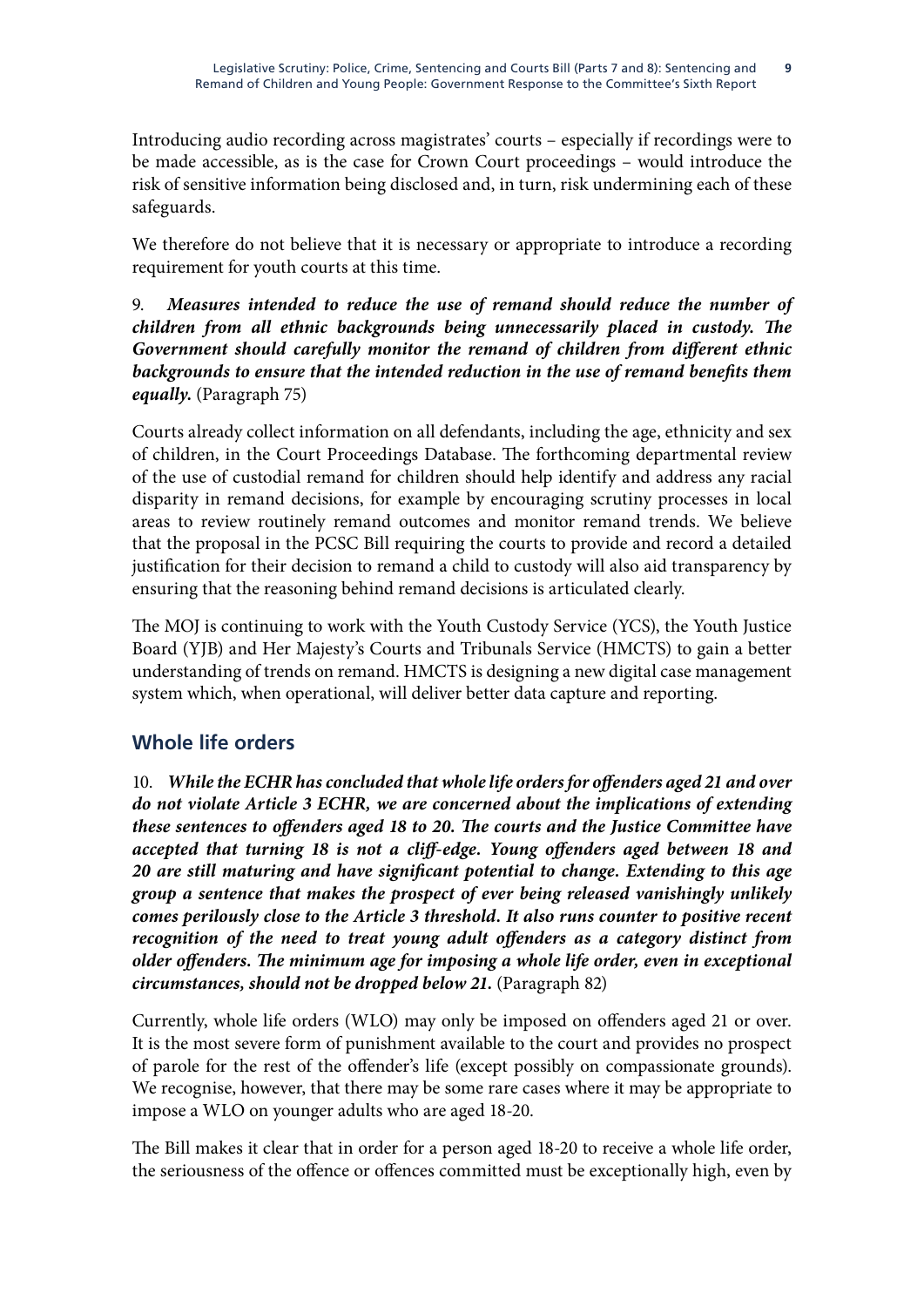Introducing audio recording across magistrates' courts – especially if recordings were to be made accessible, as is the case for Crown Court proceedings – would introduce the risk of sensitive information being disclosed and, in turn, risk undermining each of these safeguards.

We therefore do not believe that it is necessary or appropriate to introduce a recording requirement for youth courts at this time.

9. *Measures intended to reduce the use of remand should reduce the number of children from all ethnic backgrounds being unnecessarily placed in custody. The Government should carefully monitor the remand of children from different ethnic*  backgrounds to ensure that the intended reduction in the use of remand benefits them *equally.* (Paragraph 75)

Courts already collect information on all defendants, including the age, ethnicity and sex of children, in the Court Proceedings Database. The forthcoming departmental review of the use of custodial remand for children should help identify and address any racial disparity in remand decisions, for example by encouraging scrutiny processes in local areas to review routinely remand outcomes and monitor remand trends. We believe that the proposal in the PCSC Bill requiring the courts to provide and record a detailed justification for their decision to remand a child to custody will also aid transparency by ensuring that the reasoning behind remand decisions is articulated clearly.

The MOJ is continuing to work with the Youth Custody Service (YCS), the Youth Justice Board (YJB) and Her Majesty's Courts and Tribunals Service (HMCTS) to gain a better understanding of trends on remand. HMCTS is designing a new digital case management system which, when operational, will deliver better data capture and reporting.

# **Whole life orders**

10. *While the ECHR has concluded that whole life orders for offenders aged 21 and over do not violate Article 3 ECHR, we are concerned about the implications of extending these sentences to offenders aged 18 to 20. The courts and the Justice Committee have accepted that turning 18 is not a cliff-edge. Young offenders aged between 18 and 20 are still maturing and have significant potential to change. Extending to this age group a sentence that makes the prospect of ever being released vanishingly unlikely comes perilously close to the Article 3 threshold. It also runs counter to positive recent*  recognition of the need to treat young adult offenders as a category distinct from *older offenders. The minimum age for imposing a whole life order, even in exceptional circumstances, should not be dropped below 21.* (Paragraph 82)

Currently, whole life orders (WLO) may only be imposed on offenders aged 21 or over. It is the most severe form of punishment available to the court and provides no prospect of parole for the rest of the offender's life (except possibly on compassionate grounds). We recognise, however, that there may be some rare cases where it may be appropriate to impose a WLO on younger adults who are aged 18-20.

The Bill makes it clear that in order for a person aged 18-20 to receive a whole life order, the seriousness of the offence or offences committed must be exceptionally high, even by